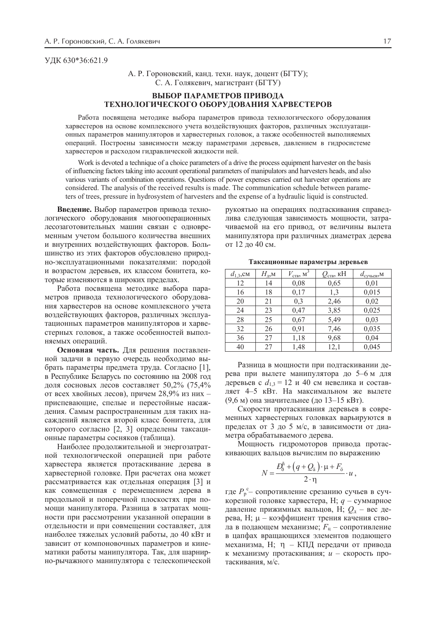## ɍȾɄ 630\*36:621.9

А. Р. Гороновский, канд. техн. наук, доцент (БГТУ); С. А. Голякевич, магистрант (БГТУ)

## **ВЫБОР ПАРАМЕТРОВ ПРИВОДА** ТЕХНОЛОГИЧЕСКОГО ОБОРУДОВАНИЯ ХАРВЕСТЕРОВ

Работа посвящена методике выбора параметров привода технологического оборудования харвестеров на основе комплексного учета воздействующих факторов, различных эксплуатационных параметров манипуляторов и харвестерных головок, а также особенностей выполняемых операций. Построены зависимости между параметрами деревьев, давлением в гидросистеме харвестеров и расходом гидравлической жидкости ней.

Work is devoted a technique of a choice parameters of a drive the process equipment harvester on the basis of influencing factors taking into account operational parameters of manipulators and harvesters heads, and also various variants of combination operations. Questions of power expenses carried out harvester operations are considered. The analysis of the received results is made. The communication schedule between parameters of trees, pressure in hydrosystem of harvesters and the expense of a hydraulic liquid is constructed.

Введение. Выбор параметров привода технологического оборудования многооперационных лесозаготовительных машин связан с одновременным учетом большого количества внешних и внутренних воздействующих факторов. Большинство из этих факторов обусловлено природно-эксплуатационными показателями: породой и возрастом деревьев, их классом бонитета, которые изменяются в широких пределах.

Работа посвящена методике выбора параметров привода технологического оборудования харвестеров на основе комплексного учета воздействующих факторов, различных эксплуатационных параметров манипуляторов и харвестерных головок, а также особенностей выполняемых операций.

Основная часть. Для решения поставленной задачи в первую очередь необходимо выбрать параметры предмета труда. Согласно [1], в Республике Беларусь по состоянию на 2008 год доля сосновых лесов составляет 50,2% (75,4% от всех хвойных лесов), причем 28,9% из них – приспевающие, спелые и перестойные насаждения. Самым распространенным для таких насаждений является второй класс бонитета, для которого согласно [2, 3] определены таксационные параметры сосняков (таблица).

Наиболее продолжительной и энергозатратной технологической операцией при работе харвестера является протаскивание дерева в харвестерной головке. При расчетах она может рассматривается как отдельная операция [3] и как совмещенная с перемещением дерева в продольной и поперечной плоскостях при помощи манипулятора. Разница в затратах мощности при рассмотрении указанной операции в отдельности и при совмещении составляет, для наиболее тяжелых условий работы, до 40 кВт и зависит от компоновочных параметров и кинематики работы манипулятора. Так, для шарнирно-рычажного манипулятора с телескопической

рукоятью на операциях подтаскивания справедлива следующая зависимость мощности, затрачиваемой на его привод, от величины вылета манипулятора при различных диаметрах дерева от 12 до 40 см.

| $d_{1,3}$ , CM | $H_{\underline{n},\underline{M}}$ | $V_{\text{CTB}}$ M <sup>3</sup> | $Q_{\text{ctB}}$ , кН | $d_{\text{cyubes,M}}$ |
|----------------|-----------------------------------|---------------------------------|-----------------------|-----------------------|
| 12             | 14                                | 0,08                            | 0,65                  | 0,01                  |
| 16             | 18                                | 0,17                            | 1,3                   | 0,015                 |
| 20             | 21                                | 0,3                             | 2,46                  | 0,02                  |
| 24             | 23                                | 0,47                            | 3,85                  | 0,025                 |
| 28             | 25                                | 0,67                            | 5,49                  | 0,03                  |
| 32             | 26                                | 0,91                            | 7,46                  | 0,035                 |
| 36             | 27                                | 1,18                            | 9,68                  | 0,04                  |
| 40             | 27                                | 1,48                            | 12,1                  | 0,045                 |

Таксационные параметры деревьев

Разница в мощности при подтаскивании дерева при вылете манипулятора до 5–6 м для деревьев с  $d_{1,3} = 12$  и 40 см невелика и составляет 4–5 кВт. На максимальном же вылете  $(9,6 \text{ m})$  она значительнее (до 13–15 кВт).

Скорости протаскивания деревьев в современных харвестерных головках варьируются в пределах от 3 до 5 м/с, в зависимости от диаметра обрабатываемого дерева.

Мощность гидромоторов привода протаскивающих вальцов вычислим по выражению

$$
N = \frac{D_0^{\text{h}} + (q + Q_{\text{a}}) \cdot \mu + F_{\text{b}}}{2 \cdot \eta} \cdot u ,
$$

где  $P_{\rm p}^{\rm c}$  **– сопротивление срезанию сучьев в суч**корезной головке харвестера, Н;  $q$  – суммарное давление прижимных вальцов, Н;  $Q_{\text{I}}$  – вес дерева, Н; µ – коэффициент трения качения ствола в подающем механизме;  $F_{\text{H}}$  – сопротивление в цапфах вращающихся элементов подающего механизма, Н;  $\eta$  – КПД передачи от привода к механизму протаскивания; *и* – скорость протаскивания, м/с.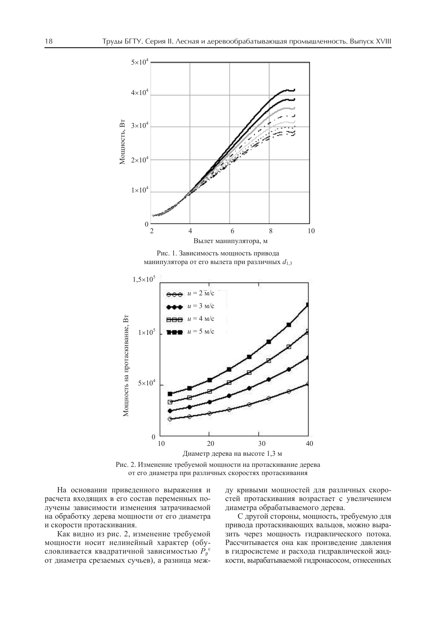

Рис. 2. Изменение требуемой мощности на протаскивание дерева от его диаметра при различных скоростях протаскивания

На основании приведенного выражения и расчета входящих в его состав переменных получены зависимости изменения затрачиваемой на обработку дерева мощности от его диаметра и скорости протаскивания.

Как видно из рис. 2, изменение требуемой мощности носит нелинейный характер (обусловливается квадратичной зависимостью  $P_p^{\text{c}}$ от диаметра срезаемых сучьев), а разница между кривыми мощностей для различных скоростей протаскивания возрастает с увеличением диаметра обрабатываемого дерева.

С другой стороны, мощность, требуемую для привода протаскивающих вальцов, можно выразить через мощность гидравлического потока. Рассчитывается она как произведение давления в гидросистеме и расхода гидравлической жидкости, вырабатываемой гидронасосом, отнесенных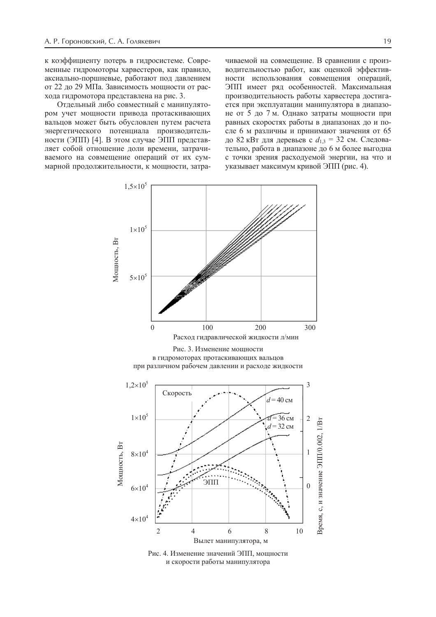к коэффициенту потерь в гидросистеме. Современные гидромоторы харвестеров, как правило, аксиально-поршневые, работают под давлением от 22 до 29 МПа. Зависимость мощности от расхода гидромотора представлена на рис. 3.

Отдельный либо совместный с манипулятором учет мощности привода протаскивающих вальцов может быть обусловлен путем расчета энергетического потенциала производительности (ЭПП) [4]. В этом случае ЭПП представляет собой отношение доли времени, затрачиваемого на совмещение операций от их суммарной продолжительности, к мощности, затра-

чиваемой на совмещение. В сравнении с производительностью работ, как оценкой эффективности использования совмещения операций, ЭПП имеет ряд особенностей. Максимальная производительность работы харвестера достигается при эксплуатации манипулятора в диапазоне от 5 до 7 м. Однако затраты мощности при равных скоростях работы в диапазонах до и после 6 м различны и принимают значения от 65 до 82 кВт для деревьев с  $d_{1,3} = 32$  см. Следовательно, работа в диапазоне до 6 м более выгодна с точки зрения расходуемой энергии, на что и указывает максимум кривой ЭПП (рис. 4).



Рис. 4. Изменение значений ЭПП, мощности и скорости работы манипулятора